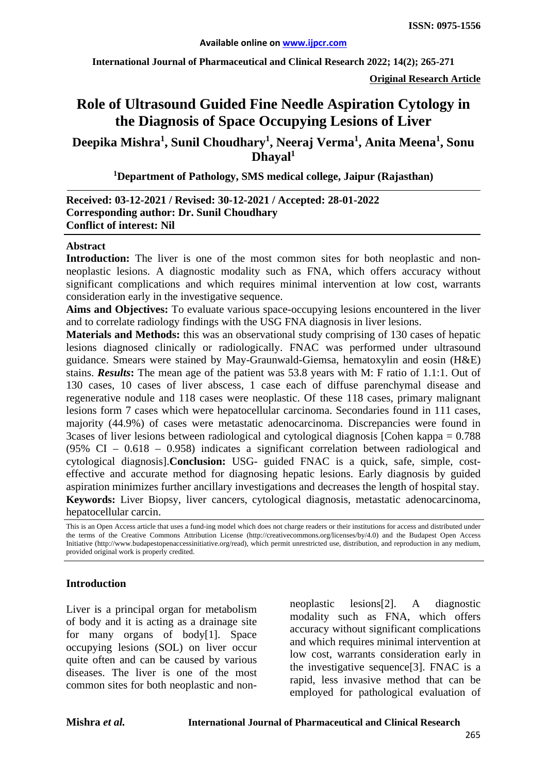**International Journal of Pharmaceutical and Clinical Research 2022; 14(2); 265-271**

**Original Research Article**

# **Role of Ultrasound Guided Fine Needle Aspiration Cytology in the Diagnosis of Space Occupying Lesions of Liver**

**Deepika Mishra<sup>1</sup> , Sunil Choudhary1 , Neeraj Verma<sup>1</sup> , Anita Meena<sup>1</sup> , Sonu Dhayal1**

**1 Department of Pathology, SMS medical college, Jaipur (Rajasthan)**

#### **Received: 03-12-2021 / Revised: 30-12-2021 / Accepted: 28-01-2022 Corresponding author: Dr. Sunil Choudhary Conflict of interest: Nil**

#### **Abstract**

Introduction: The liver is one of the most common sites for both neoplastic and nonneoplastic lesions. A diagnostic modality such as FNA, which offers accuracy without significant complications and which requires minimal intervention at low cost, warrants consideration early in the investigative sequence.

**Aims and Objectives:** To evaluate various space-occupying lesions encountered in the liver and to correlate radiology findings with the USG FNA diagnosis in liver lesions.

**Materials and Methods:** this was an observational study comprising of 130 cases of hepatic lesions diagnosed clinically or radiologically. FNAC was performed under ultrasound guidance. Smears were stained by May-Graunwald-Giemsa, hematoxylin and eosin (H&E) stains. *Results***:** The mean age of the patient was 53.8 years with M: F ratio of 1.1:1. Out of 130 cases, 10 cases of liver abscess, 1 case each of diffuse parenchymal disease and regenerative nodule and 118 cases were neoplastic. Of these 118 cases, primary malignant lesions form 7 cases which were hepatocellular carcinoma. Secondaries found in 111 cases, majority (44.9%) of cases were metastatic adenocarcinoma. Discrepancies were found in 3cases of liver lesions between radiological and cytological diagnosis [Cohen kappa = 0.788 (95% CI – 0.618 – 0.958) indicates a significant correlation between radiological and cytological diagnosis].**Conclusion:** USG- guided FNAC is a quick, safe, simple, costeffective and accurate method for diagnosing hepatic lesions. Early diagnosis by guided aspiration minimizes further ancillary investigations and decreases the length of hospital stay. **Keywords:** Liver Biopsy, liver cancers, cytological diagnosis, metastatic adenocarcinoma, hepatocellular carcin.

#### **Introduction**

Liver is a principal organ for metabolism of body and it is acting as a drainage site for many organs of body[1]. Space occupying lesions (SOL) on liver occur quite often and can be caused by various diseases. The liver is one of the most common sites for both neoplastic and nonneoplastic lesions[2]. A diagnostic modality such as FNA, which offers accuracy without significant complications and which requires minimal intervention at low cost, warrants consideration early in the investigative sequence[3]. FNAC is a rapid, less invasive method that can be employed for pathological evaluation of

This is an Open Access article that uses a fund-ing model which does not charge readers or their institutions for access and distributed under the terms of the Creative Commons Attribution License (http://creativecommons.org/licenses/by/4.0) and the Budapest Open Access Initiative (http://www.budapestopenaccessinitiative.org/read), which permit unrestricted use, distribution, and reproduction in any medium, provided original work is properly credited.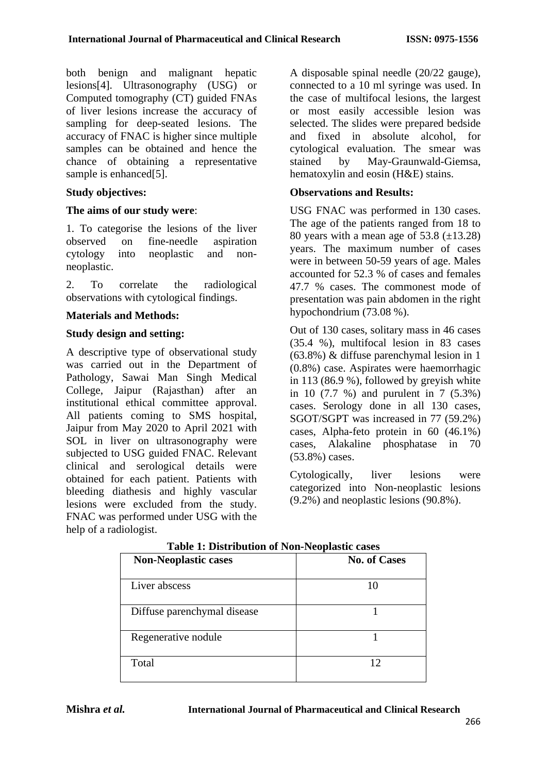both benign and malignant hepatic lesions[4]. Ultrasonography (USG) or Computed tomography (CT) guided FNAs of liver lesions increase the accuracy of sampling for deep-seated lesions. The accuracy of FNAC is higher since multiple samples can be obtained and hence the chance of obtaining a representative sample is enhanced<sup>[5]</sup>.

## **Study objectives:**

## **The aims of our study were**:

1. To categorise the lesions of the liver<br>observed on fine-needle aspiration on fine-needle aspiration cytology into neoplastic and nonneoplastic.

2. To correlate the radiological observations with cytological findings.

## **Materials and Methods:**

## **Study design and setting:**

A descriptive type of observational study was carried out in the Department of Pathology, Sawai Man Singh Medical College, Jaipur (Rajasthan) after an institutional ethical committee approval. All patients coming to SMS hospital, Jaipur from May 2020 to April 2021 with SOL in liver on ultrasonography were subjected to USG guided FNAC. Relevant clinical and serological details were obtained for each patient. Patients with bleeding diathesis and highly vascular lesions were excluded from the study. FNAC was performed under USG with the help of a radiologist.

A disposable spinal needle (20/22 gauge), connected to a 10 ml syringe was used. In the case of multifocal lesions, the largest or most easily accessible lesion was selected. The slides were prepared bedside and fixed in absolute alcohol, for cytological evaluation. The smear was stained by May-Graunwald-Giemsa, hematoxylin and eosin (H&E) stains.

#### **Observations and Results:**

USG FNAC was performed in 130 cases. The age of the patients ranged from 18 to 80 years with a mean age of  $53.8 \ (\pm 13.28)$ years. The maximum number of cases were in between 50-59 years of age. Males accounted for 52.3 % of cases and females 47.7 % cases. The commonest mode of presentation was pain abdomen in the right hypochondrium (73.08 %).

Out of 130 cases, solitary mass in 46 cases (35.4 %), multifocal lesion in 83 cases (63.8%) & diffuse parenchymal lesion in 1 (0.8%) case. Aspirates were haemorrhagic in 113 (86.9 %), followed by greyish white in 10 (7.7 %) and purulent in 7 (5.3%) cases. Serology done in all 130 cases, SGOT/SGPT was increased in 77 (59.2%) cases, Alpha-feto protein in 60 (46.1%) cases, Alakaline phosphatase in 70 (53.8%) cases.

Cytologically, liver lesions were categorized into Non-neoplastic lesions (9.2%) and neoplastic lesions (90.8%).

| <b>Non-Neoplastic cases</b> | <b>No. of Cases</b> |
|-----------------------------|---------------------|
| Liver abscess               | 10                  |
| Diffuse parenchymal disease |                     |
| Regenerative nodule         |                     |
| Total                       | 12                  |

**Table 1: Distribution of Non-Neoplastic cases**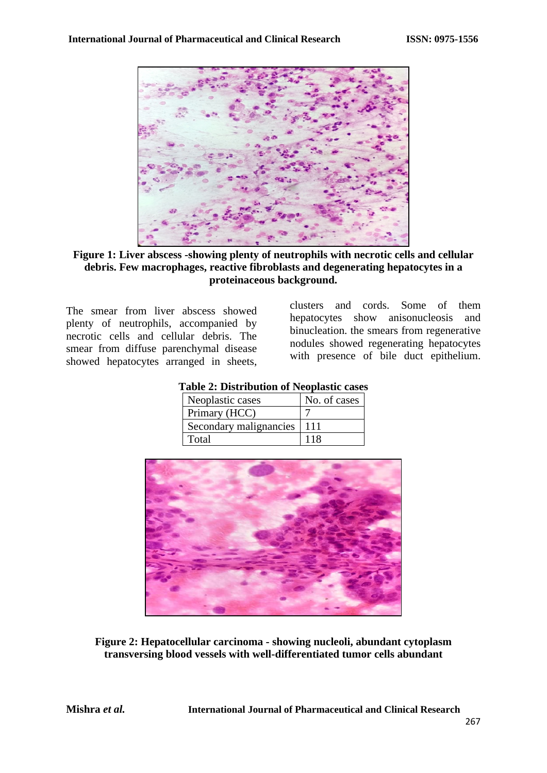

**Figure 1: Liver abscess -showing plenty of neutrophils with necrotic cells and cellular debris. Few macrophages, reactive fibroblasts and degenerating hepatocytes in a proteinaceous background.**

The smear from liver abscess showed plenty of neutrophils, accompanied by necrotic cells and cellular debris. The smear from diffuse parenchymal disease showed hepatocytes arranged in sheets, clusters and cords. Some of them hepatocytes show anisonucleosis and binucleation. the smears from regenerative nodules showed regenerating hepatocytes with presence of bile duct epithelium.

| No. of cases |
|--------------|
|              |
| 111          |
| 118          |
|              |

**Table 2: Distribution of Neoplastic cases**

**Figure 2: Hepatocellular carcinoma - showing nucleoli, abundant cytoplasm transversing blood vessels with well-differentiated tumor cells abundant**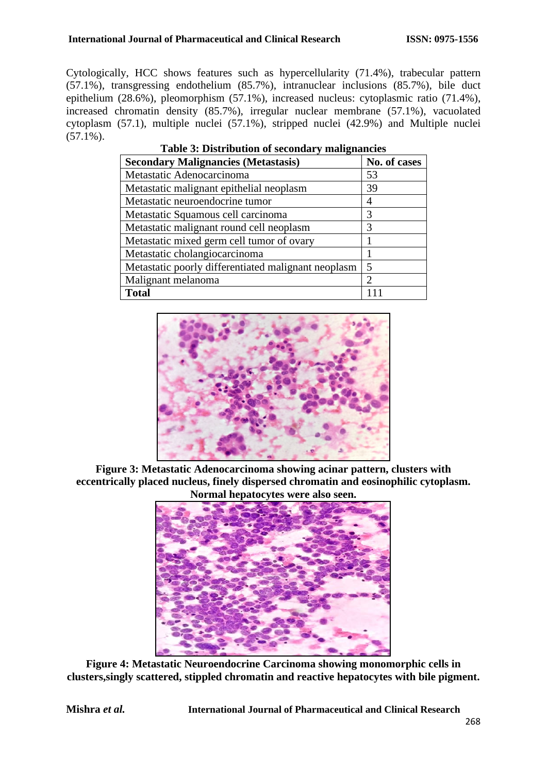Cytologically, HCC shows features such as hypercellularity (71.4%), trabecular pattern (57.1%), transgressing endothelium (85.7%), intranuclear inclusions (85.7%), bile duct epithelium (28.6%), pleomorphism (57.1%), increased nucleus: cytoplasmic ratio (71.4%), increased chromatin density (85.7%), irregular nuclear membrane (57.1%), vacuolated cytoplasm (57.1), multiple nuclei (57.1%), stripped nuclei (42.9%) and Multiple nuclei  $(57.1\%)$ .

| <b>Secondary Malignancies (Metastasis)</b>          | No. of cases                |
|-----------------------------------------------------|-----------------------------|
| Metastatic Adenocarcinoma                           | 53                          |
| Metastatic malignant epithelial neoplasm            | 39                          |
| Metastatic neuroendocrine tumor                     | 4                           |
| Metastatic Squamous cell carcinoma                  | 3                           |
| Metastatic malignant round cell neoplasm            | 3                           |
| Metastatic mixed germ cell tumor of ovary           |                             |
| Metastatic cholangiocarcinoma                       |                             |
| Metastatic poorly differentiated malignant neoplasm | $\overline{\mathcal{L}}$    |
| Malignant melanoma                                  | $\mathcal{D}_{\mathcal{A}}$ |
| <b>Total</b>                                        |                             |

| Table 3: Distribution of secondary malignancies |  |  |
|-------------------------------------------------|--|--|
|-------------------------------------------------|--|--|



**Figure 3: Metastatic Adenocarcinoma showing acinar pattern, clusters with eccentrically placed nucleus, finely dispersed chromatin and eosinophilic cytoplasm. Normal hepatocytes were also seen.**



**Figure 4: Metastatic Neuroendocrine Carcinoma showing monomorphic cells in clusters,singly scattered, stippled chromatin and reactive hepatocytes with bile pigment.**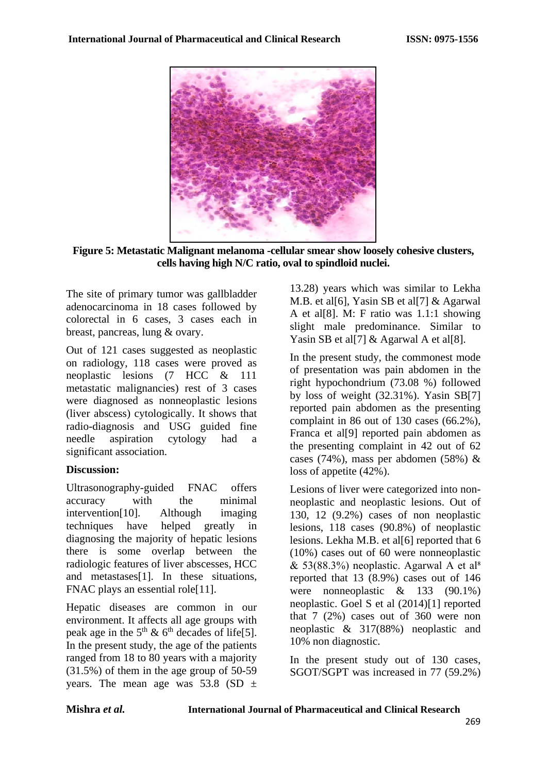

**Figure 5: Metastatic Malignant melanoma -cellular smear show loosely cohesive clusters, cells having high N/C ratio, oval to spindloid nuclei.** 

The site of primary tumor was gallbladder adenocarcinoma in 18 cases followed by colorectal in 6 cases, 3 cases each in breast, pancreas, lung & ovary.

Out of 121 cases suggested as neoplastic on radiology, 118 cases were proved as neoplastic lesions (7 HCC & 111 metastatic malignancies) rest of 3 cases were diagnosed as nonneoplastic lesions (liver abscess) cytologically. It shows that radio-diagnosis and USG guided fine needle aspiration cytology had a significant association.

## **Discussion:**

Ultrasonography-guided FNAC offers accuracy with the minimal intervention[10]. Although imaging techniques have helped greatly in diagnosing the majority of hepatic lesions there is some overlap between the radiologic features of liver abscesses, HCC and metastases[1]. In these situations, FNAC plays an essential role<sup>[11]</sup>.

Hepatic diseases are common in our environment. It affects all age groups with peak age in the  $5<sup>th</sup>$  &  $6<sup>th</sup>$  decades of life[5]. In the present study, the age of the patients ranged from 18 to 80 years with a majority (31.5%) of them in the age group of 50-59 years. The mean age was 53.8 (SD  $\pm$ 

13.28) years which was similar to Lekha M.B. et al[6], Yasin SB et al[7] & Agarwal A et al[8]. M: F ratio was 1.1:1 showing slight male predominance. Similar to Yasin SB et all [7] & Agarwal A et all [8].

In the present study, the commonest mode of presentation was pain abdomen in the right hypochondrium (73.08 %) followed by loss of weight (32.31%). Yasin SB[7] reported pain abdomen as the presenting complaint in 86 out of 130 cases (66.2%), Franca et al[9] reported pain abdomen as the presenting complaint in 42 out of 62 cases (74%), mass per abdomen (58%)  $\&$ loss of appetite (42%).

Lesions of liver were categorized into nonneoplastic and neoplastic lesions. Out of 130, 12 (9.2%) cases of non neoplastic lesions, 118 cases (90.8%) of neoplastic lesions. Lekha M.B. et al[6] reported that 6 (10%) cases out of 60 were nonneoplastic & 53(88.3%) neoplastic. Agarwal A et al<sup>8</sup> reported that 13 (8.9%) cases out of 146 were nonneoplastic & 133 (90.1%) neoplastic. Goel S et al (2014)[1] reported that 7 (2%) cases out of 360 were non neoplastic & 317(88%) neoplastic and 10% non diagnostic.

In the present study out of 130 cases, SGOT/SGPT was increased in 77 (59.2%)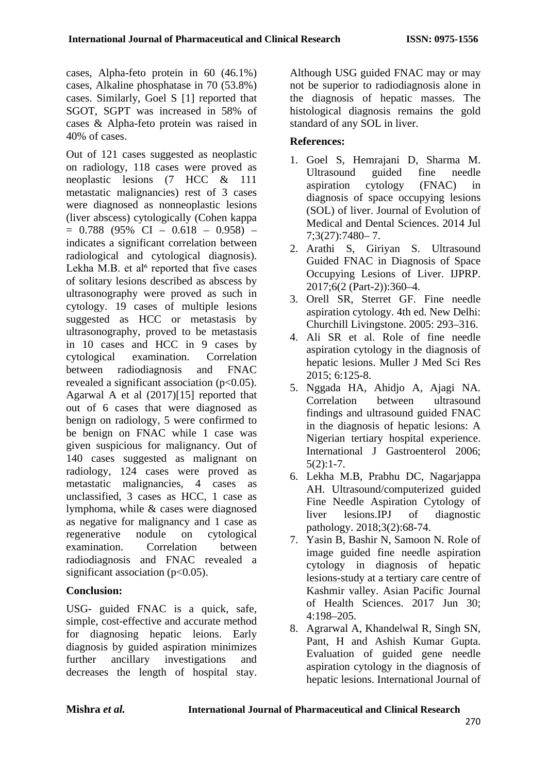cases, Alpha-feto protein in 60 (46.1%) cases, Alkaline phosphatase in 70 (53.8%) cases. Similarly, Goel S [1] reported that SGOT, SGPT was increased in 58% of cases & Alpha-feto protein was raised in 40% of cases.

Out of 121 cases suggested as neoplastic on radiology, 118 cases were proved as neoplastic lesions (7 HCC & 111 metastatic malignancies) rest of 3 cases were diagnosed as nonneoplastic lesions (liver abscess) cytologically (Cohen kappa  $= 0.788$  (95% CI – 0.618 – 0.958) – indicates a significant correlation between radiological and cytological diagnosis). Lekha M.B. et al<sup>6</sup> reported that five cases of solitary lesions described as abscess by ultrasonography were proved as such in cytology. 19 cases of multiple lesions suggested as HCC or metastasis by ultrasonography, proved to be metastasis in 10 cases and HCC in 9 cases by cytological examination. Correlation between radiodiagnosis and FNAC revealed a significant association  $(p<0.05)$ . Agarwal A et al (2017)[15] reported that out of 6 cases that were diagnosed as benign on radiology, 5 were confirmed to be benign on FNAC while 1 case was given suspicious for malignancy. Out of 140 cases suggested as malignant on radiology, 124 cases were proved as metastatic malignancies, 4 cases as unclassified, 3 cases as HCC, 1 case as lymphoma, while & cases were diagnosed as negative for malignancy and 1 case as regenerative nodule on cytological examination. Correlation between radiodiagnosis and FNAC revealed a significant association ( $p<0.05$ ).

## **Conclusion:**

USG- guided FNAC is a quick, safe, simple, cost-effective and accurate method for diagnosing hepatic leions. Early diagnosis by guided aspiration minimizes further ancillary investigations and decreases the length of hospital stay.

Although USG guided FNAC may or may not be superior to radiodiagnosis alone in the diagnosis of hepatic masses. The histological diagnosis remains the gold standard of any SOL in liver.

# **References:**

- 1. Goel S, Hemrajani D, Sharma M. Ultrasound guided fine needle aspiration cytology (FNAC) in diagnosis of space occupying lesions (SOL) of liver. Journal of Evolution of Medical and Dental Sciences. 2014 Jul 7;3(27):7480– 7.
- 2. Arathi S, Giriyan S. Ultrasound Guided FNAC in Diagnosis of Space Occupying Lesions of Liver. IJPRP. 2017;6(2 (Part-2)):360–4.
- 3. Orell SR, Sterret GF. Fine needle aspiration cytology. 4th ed. New Delhi: Churchill Livingstone. 2005: 293–316.
- 4. Ali SR et al. Role of fine needle aspiration cytology in the diagnosis of hepatic lesions. Muller J Med Sci Res 2015; 6:125-8.
- 5. Nggada HA, Ahidjo A, Ajagi NA. Correlation between ultrasound findings and ultrasound guided FNAC in the diagnosis of hepatic lesions: A Nigerian tertiary hospital experience. International J Gastroenterol 2006;  $5(2):1-7.$
- 6. Lekha M.B, Prabhu DC, Nagarjappa AH. Ultrasound/computerized guided Fine Needle Aspiration Cytology of liver lesions.IPJ of diagnostic pathology. 2018;3(2):68-74.
- 7. Yasin B, Bashir N, Samoon N. Role of image guided fine needle aspiration cytology in diagnosis of hepatic lesions-study at a tertiary care centre of Kashmir valley. Asian Pacific Journal of Health Sciences. 2017 Jun 30; 4:198–205.
- 8. Agrarwal A, Khandelwal R, Singh SN, Pant, H and Ashish Kumar Gupta. Evaluation of guided gene needle aspiration cytology in the diagnosis of hepatic lesions. International Journal of